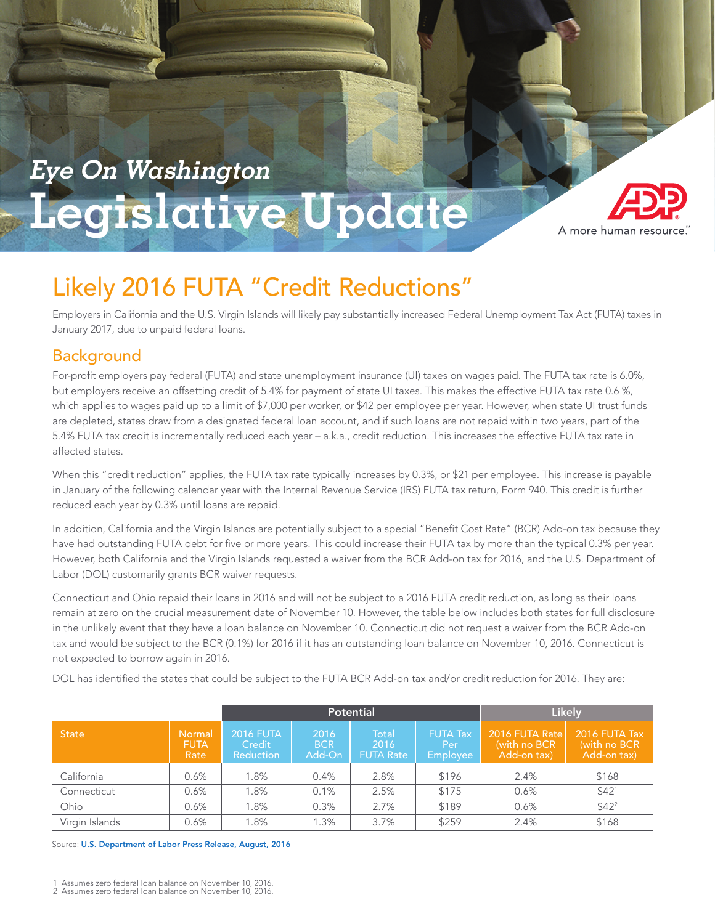

# **Meets Your Clients' Needs Eye On Washington Legislative Update**

**A Path to Retirement That**



Employers in California and the U.S. Virgin Islands will likely pay substantially increased Federal Unemployment Tax Act (FUTA) taxes in January 2017, due to unpaid federal loans.

## Background

For-profit employers pay federal (FUTA) and state unemployment insurance (UI) taxes on wages paid. The FUTA tax rate is 6.0%, but employers receive an offsetting credit of 5.4% for payment of state UI taxes. This makes the effective FUTA tax rate 0.6 %, which applies to wages paid up to a limit of \$7,000 per worker, or \$42 per employee per year. However, when state UI trust funds are depleted, states draw from a designated federal loan account, and if such loans are not repaid within two years, part of the 5.4% FUTA tax credit is incrementally reduced each year – a.k.a., credit reduction. This increases the effective FUTA tax rate in affected states.

When this "credit reduction" applies, the FUTA tax rate typically increases by 0.3%, or \$21 per employee. This increase is payable in January of the following calendar year with the Internal Revenue Service (IRS) FUTA tax return, Form 940. This credit is further reduced each year by 0.3% until loans are repaid.

In addition, California and the Virgin Islands are potentially subject to a special "Benefit Cost Rate" (BCR) Add-on tax because they have had outstanding FUTA debt for five or more years. This could increase their FUTA tax by more than the typical 0.3% per year. However, both California and the Virgin Islands requested a waiver from the BCR Add-on tax for 2016, and the U.S. Department of Labor (DOL) customarily grants BCR waiver requests.

Connecticut and Ohio repaid their loans in 2016 and will not be subject to a 2016 FUTA credit reduction, as long as their loans remain at zero on the crucial measurement date of November 10. However, the table below includes both states for full disclosure in the unlikely event that they have a loan balance on November 10. Connecticut did not request a waiver from the BCR Add-on tax and would be subject to the BCR (0.1%) for 2016 if it has an outstanding loan balance on November 10, 2016. Connecticut is not expected to borrow again in 2016.

DOL has identified the states that could be subject to the FUTA BCR Add-on tax and/or credit reduction for 2016. They are:

|                |                               | <b>Potential</b>                        |                              |                                   | <b>Likely</b>                                    |                                               |                                               |
|----------------|-------------------------------|-----------------------------------------|------------------------------|-----------------------------------|--------------------------------------------------|-----------------------------------------------|-----------------------------------------------|
| <b>State</b>   | Normal<br><b>FUTA</b><br>Rate | <b>2016 FUTA</b><br>Credit<br>Reduction | 2016<br><b>BCR</b><br>Add-On | Total<br>2016<br><b>FUTA Rate</b> | <b>FUTA Tax</b><br>Per<br>'Employee <sub>l</sub> | 2016 FUTA Rate<br>(with no BCR<br>Add-on tax) | 2016 FUTA Tax<br>(with no BCR)<br>Add-on tax) |
| California     | 0.6%                          | $1.8\%$                                 | 0.4%                         | 2.8%                              | \$196                                            | 2.4%                                          | \$168                                         |
| Connecticut    | 0.6%                          | 1.8%                                    | 0.1%                         | 2.5%                              | \$175                                            | 0.6%                                          | \$42 <sup>1</sup>                             |
| Ohio           | 0.6%                          | $.8\%$                                  | 0.3%                         | 2.7%                              | \$189                                            | 0.6%                                          | \$42 <sup>2</sup>                             |
| Virgin Islands | 0.6%                          | $.8\%$                                  | 1.3%                         | 3.7%                              | \$259                                            | 2.4%                                          | \$168                                         |

Source: [U.S. Department of Labor Press Release, August, 2016](http://ows.doleta.gov/unemploy/docs/potential_credit_states_2016.xlsx)

Assumes zero federal loan balance on November 10, 2016. 2 Assumes zero federal loan balance on November 10, 2016.